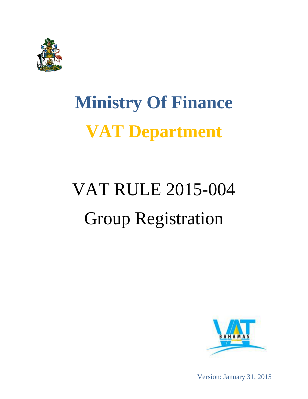

## **Ministry Of Finance VAT Department**

# VAT RULE 2015-004 Group Registration



Version: January 31, 2015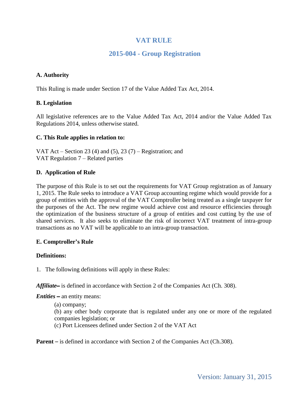## **VAT RULE**

## **2015-004 - Group Registration**

#### **A. Authority**

This Ruling is made under Section 17 of the Value Added Tax Act, 2014.

#### **B. Legislation**

All legislative references are to the Value Added Tax Act, 2014 and/or the Value Added Tax Regulations 2014, unless otherwise stated.

#### **C. This Rule applies in relation to:**

VAT Act – Section 23 (4) and (5), 23 (7) – Registration; and VAT Regulation 7 – Related parties

#### **D. Application of Rule**

The purpose of this Rule is to set out the requirements for VAT Group registration as of January 1, 2015. The Rule seeks to introduce a VAT Group accounting regime which would provide for a group of entities with the approval of the VAT Comptroller being treated as a single taxpayer for the purposes of the Act. The new regime would achieve cost and resource efficiencies through the optimization of the business structure of a group of entities and cost cutting by the use of shared services. It also seeks to eliminate the risk of incorrect VAT treatment of intra-group transactions as no VAT will be applicable to an intra-group transaction.

#### **E. Comptroller's Rule**

#### **Definitions:**

1. The following definitions will apply in these Rules:

*Affiliate*– is defined in accordance with Section 2 of the Companies Act (Ch. 308).

*Entities* – an entity means:

(a) company;

(b) any other body corporate that is regulated under any one or more of the regulated companies legislation; or

(c) Port Licensees defined under Section 2 of the VAT Act

**Parent** – is defined in accordance with Section 2 of the Companies Act (Ch.308).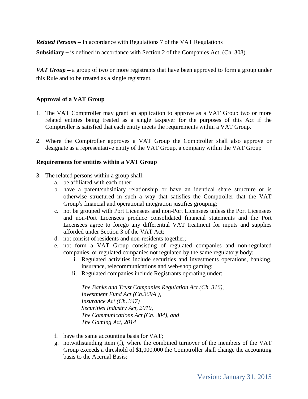*Related Persons* – In accordance with Regulations 7 of the VAT Regulations

**Subsidiary** – is defined in accordance with Section 2 of the Companies Act, (Ch. 308).

*VAT Group* – a group of two or more registrants that have been approved to form a group under this Rule and to be treated as a single registrant.

#### **Approval of a VAT Group**

- 1. The VAT Comptroller may grant an application to approve as a VAT Group two or more related entities being treated as a single taxpayer for the purposes of this Act if the Comptroller is satisfied that each entity meets the requirements within a VAT Group.
- 2. Where the Comptroller approves a VAT Group the Comptroller shall also approve or designate as a representative entity of the VAT Group, a company within the VAT Group

#### **Requirements for entities within a VAT Group**

- 3. The related persons within a group shall:
	- a. be affiliated with each other;
	- b. have a parent/subsidiary relationship or have an identical share structure or is otherwise structured in such a way that satisfies the Comptroller that the VAT Group's financial and operational integration justifies grouping;
	- c. not be grouped with Port Licensees and non-Port Licensees unless the Port Licensees and non-Port Licensees produce consolidated financial statements and the Port Licensees agree to forego any differential VAT treatment for inputs and supplies afforded under Section 3 of the VAT Act;
	- d. not consist of residents and non-residents together;
	- e. not form a VAT Group consisting of regulated companies and non-regulated companies, or regulated companies not regulated by the same regulatory body;
		- i. Regulated activities include securities and investments operations, banking, insurance, telecommunications and web-shop gaming;
		- ii. Regulated companies include Registrants operating under:

*The Banks and Trust Companies Regulation Act (Ch. 316), Investment Fund Act (Ch.369A ), Insurance Act (Ch. 347) Securities Industry Act, 2010, The Communications Act (Ch. 304), and The Gaming Act, 2014*

- f. have the same accounting basis for VAT;
- g. notwithstanding item (f), where the combined turnover of the members of the VAT Group exceeds a threshold of \$1,000,000 the Comptroller shall change the accounting basis to the Accrual Basis;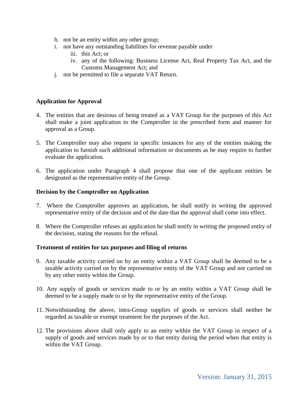- h. not be an entity within any other group;
- i. not have any outstanding liabilities for revenue payable under
	- iii. this Act; or
	- iv. any of the following: Business License Act, Real Property Tax Act, and the Customs Management Act; and
- j. not be permitted to file a separate VAT Return.

#### **Application for Approval**

- <span id="page-3-0"></span>4. The entities that are desirous of being treated as a VAT Group for the purposes of this Act shall make a joint application to the Comptroller in the prescribed form and manner for approval as a Group.
- 5. The Comptroller may also request in specific instances for any of the entities making the application to furnish such additional information or documents as he may require to further evaluate the application.
- 6. The application under Paragraph [4](#page-3-0) shall propose that one of the applicant entities be designated as the representative entity of the Group.

#### **Decision by the Comptroller on Application**

- 7. Where the Comptroller approves an application, he shall notify in writing the approved representative entity of the decision and of the date that the approval shall come into effect.
- 8. Where the Comptroller refuses an application he shall notify in writing the proposed entity of the decision, stating the reasons for the refusal.

#### **Treatment of entities for tax purposes and filing of returns**

- 9. Any taxable activity carried on by an entity within a VAT Group shall be deemed to be a taxable activity carried on by the representative entity of the VAT Group and not carried on by any other entity within the Group.
- 10. Any supply of goods or services made to or by an entity within a VAT Group shall be deemed to be a supply made to or by the representative entity of the Group.
- 11. Notwithstanding the above, intra-Group supplies of goods or services shall neither be regarded as taxable or exempt treatment for the purposes of the Act.
- 12. The provisions above shall only apply to an entity within the VAT Group in respect of a supply of goods and services made by or to that entity during the period when that entity is within the VAT Group.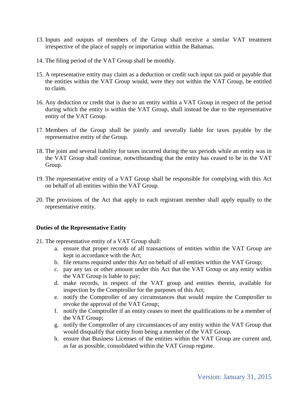- 13. Inputs and outputs of members of the Group shall receive a similar VAT treatment irrespective of the place of supply or importation within the Bahamas.
- 14. The filing period of the VAT Group shall be monthly.
- 15. A representative entity may claim as a deduction or credit such input tax paid or payable that the entities within the VAT Group would, were they not within the VAT Group, be entitled to claim.
- 16. Any deduction or credit that is due to an entity within a VAT Group in respect of the period during which the entity is within the VAT Group, shall instead be due to the representative entity of the VAT Group.
- 17. Members of the Group shall be jointly and severally liable for taxes payable by the representative entity of the Group.
- 18. The joint and several liability for taxes incurred during the tax periods while an entity was in the VAT Group shall continue, notwithstanding that the entity has ceased to be in the VAT Group.
- 19. The representative entity of a VAT Group shall be responsible for complying with this Act on behalf of all entities within the VAT Group.
- 20. The provisions of the Act that apply to each registrant member shall apply equally to the representative entity.

#### **Duties of the Representative Entity**

- 21. The representative entity of a VAT Group shall:
	- a. ensure that proper records of all transactions of entities within the VAT Group are kept in accordance with the Act;
	- b. file returns required under this Act on behalf of all entities within the VAT Group;
	- c. pay any tax or other amount under this Act that the VAT Group or any entity within the VAT Group is liable to pay;
	- d. make records, in respect of the VAT group and entities therein, available for inspection by the Comptroller for the purposes of this Act;
	- e. notify the Comptroller of any circumstances that would require the Comptroller to revoke the approval of the VAT Group;
	- f. notify the Comptroller if an entity ceases to meet the qualifications to be a member of the VAT Group;
	- g. notify the Comptroller of any circumstances of any entity within the VAT Group that would disqualify that entity from being a member of the VAT Group.
	- h. ensure that Business Licenses of the entities within the VAT Group are current and, as far as possible, consolidated within the VAT Group regime.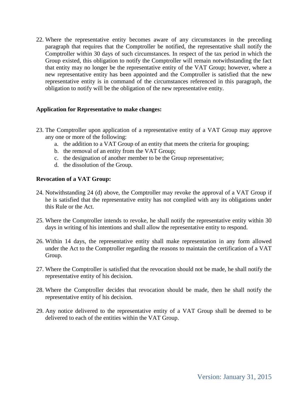22. Where the representative entity becomes aware of any circumstances in the preceding paragraph that requires that the Comptroller be notified, the representative shall notify the Comptroller within 30 days of such circumstances. In respect of the tax period in which the Group existed, this obligation to notify the Comptroller will remain notwithstanding the fact that entity may no longer be the representative entity of the VAT Group; however, where a new representative entity has been appointed and the Comptroller is satisfied that the new representative entity is in command of the circumstances referenced in this paragraph, the obligation to notify will be the obligation of the new representative entity.

#### **Application for Representative to make changes:**

- 23. The Comptroller upon application of a representative entity of a VAT Group may approve any one or more of the following:
	- a. the addition to a VAT Group of an entity that meets the criteria for grouping;
	- b. the removal of an entity from the VAT Group;
	- c. the designation of another member to be the Group representative;
	- d. the dissolution of the Group.

#### **Revocation of a VAT Group:**

- 24. Notwithstanding 24 (d) above, the Comptroller may revoke the approval of a VAT Group if he is satisfied that the representative entity has not complied with any its obligations under this Rule or the Act.
- 25. Where the Comptroller intends to revoke, he shall notify the representative entity within 30 days in writing of his intentions and shall allow the representative entity to respond.
- 26. Within 14 days, the representative entity shall make representation in any form allowed under the Act to the Comptroller regarding the reasons to maintain the certification of a VAT Group.
- 27. Where the Comptroller is satisfied that the revocation should not be made, he shall notify the representative entity of his decision.
- 28. Where the Comptroller decides that revocation should be made, then he shall notify the representative entity of his decision.
- 29. Any notice delivered to the representative entity of a VAT Group shall be deemed to be delivered to each of the entities within the VAT Group.